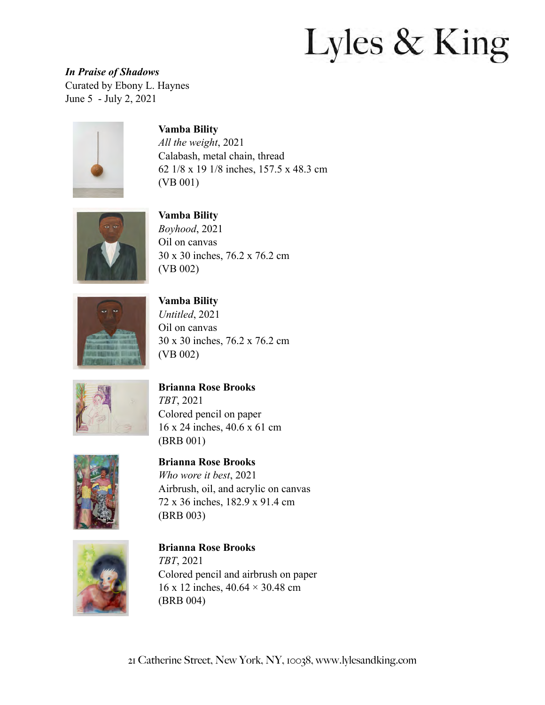*In Praise of Shadows*  Curated by Ebony L. Haynes June 5 - July 2, 2021



#### **Vamba Bility**

*All the weight*, 2021 Calabash, metal chain, thread 62 1/8 x 19 1/8 inches, 157.5 x 48.3 cm (VB 001)



**Vamba Bility** *Boyhood*, 2021 Oil on canvas 30 x 30 inches, 76.2 x 76.2 cm (VB 002)



**Vamba Bility**

*Untitled*, 2021 Oil on canvas 30 x 30 inches, 76.2 x 76.2 cm (VB 002)



#### **Brianna Rose Brooks**

*TBT*, 2021 Colored pencil on paper 16 x 24 inches, 40.6 x 61 cm (BRB 001)



**Brianna Rose Brooks**

*Who wore it best*, 2021 Airbrush, oil, and acrylic on canvas 72 x 36 inches, 182.9 x 91.4 cm (BRB 003)



#### **Brianna Rose Brooks** *TBT*, 2021 Colored pencil and airbrush on paper 16 x 12 inches, 40.64 × 30.48 cm

(BRB 004)

21 Catherine Street, New York, NY, 10038, [www.lylesandking.com](http://www.lylesandking.com)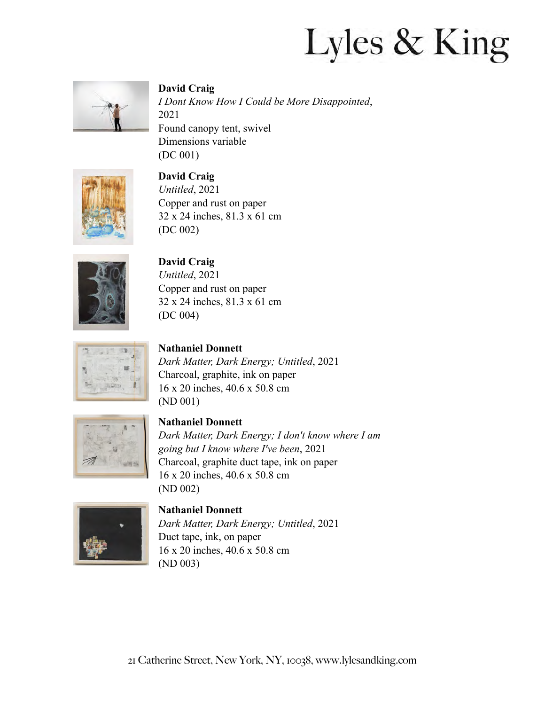

## **David Craig**

*I Dont Know How I Could be More Disappointed*, 2021 Found canopy tent, swivel Dimensions variable (DC 001)



**David Craig** *Untitled*, 2021 Copper and rust on paper 32 x 24 inches, 81.3 x 61 cm (DC 002)



## **David Craig**

*Untitled*, 2021 Copper and rust on paper 32 x 24 inches, 81.3 x 61 cm (DC 004)

## **Nathaniel Donnett**

*Dark Matter, Dark Energy; Untitled*, 2021 Charcoal, graphite, ink on paper 16 x 20 inches, 40.6 x 50.8 cm (ND 001)



### **Nathaniel Donnett**

*Dark Matter, Dark Energy; I don't know where I am going but I know where I've been*, 2021 Charcoal, graphite duct tape, ink on paper 16 x 20 inches, 40.6 x 50.8 cm (ND 002)



#### **Nathaniel Donnett**

*Dark Matter, Dark Energy; Untitled*, 2021 Duct tape, ink, on paper 16 x 20 inches, 40.6 x 50.8 cm (ND 003)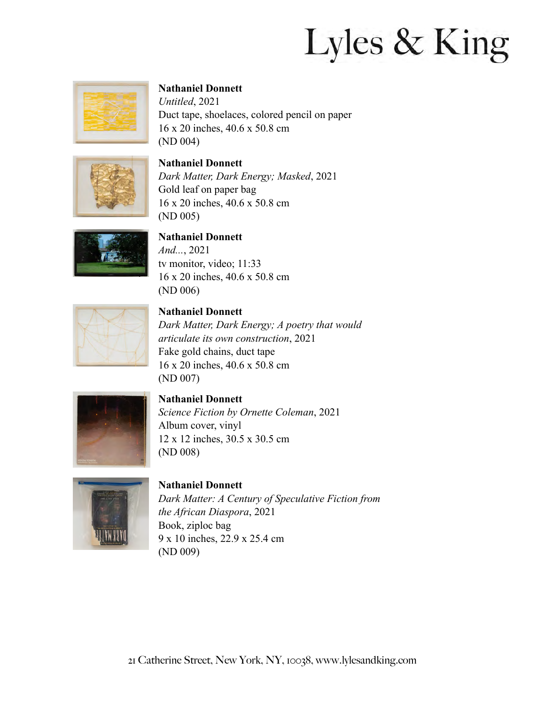

### **Nathaniel Donnett**

*Untitled*, 2021 Duct tape, shoelaces, colored pencil on paper 16 x 20 inches, 40.6 x 50.8 cm (ND 004)



## **Nathaniel Donnett**

*Dark Matter, Dark Energy; Masked*, 2021 Gold leaf on paper bag 16 x 20 inches, 40.6 x 50.8 cm (ND 005)



#### **Nathaniel Donnett**

*And...*, 2021 tv monitor, video; 11:33 16 x 20 inches, 40.6 x 50.8 cm (ND 006)



#### **Nathaniel Donnett**

*Dark Matter, Dark Energy; A poetry that would articulate its own construction*, 2021 Fake gold chains, duct tape 16 x 20 inches, 40.6 x 50.8 cm (ND 007)



**Nathaniel Donnett** *Science Fiction by Ornette Coleman*, 2021 Album cover, vinyl 12 x 12 inches, 30.5 x 30.5 cm (ND 008)



#### **Nathaniel Donnett** *Dark Matter: A Century of Speculative Fiction from the African Diaspora*, 2021 Book, ziploc bag 9 x 10 inches, 22.9 x 25.4 cm (ND 009)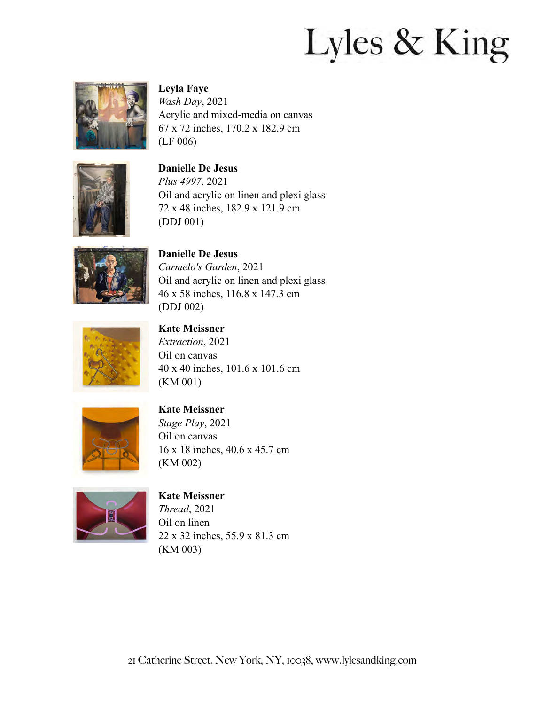

#### **Leyla Faye**

*Wash Day*, 2021 Acrylic and mixed-media on canvas 67 x 72 inches, 170.2 x 182.9 cm (LF 006)



**Danielle De Jesus**

*Plus 4997*, 2021 Oil and acrylic on linen and plexi glass 72 x 48 inches, 182.9 x 121.9 cm (DDJ 001)



**Danielle De Jesus** *Carmelo's Garden*, 2021 Oil and acrylic on linen and plexi glass 46 x 58 inches, 116.8 x 147.3 cm (DDJ 002)



## **Kate Meissner**

*Extraction*, 2021 Oil on canvas 40 x 40 inches, 101.6 x 101.6 cm (KM 001)



## **Kate Meissner**

*Stage Play*, 2021 Oil on canvas 16 x 18 inches, 40.6 x 45.7 cm (KM 002)



### **Kate Meissner**

*Thread*, 2021 Oil on linen 22 x 32 inches, 55.9 x 81.3 cm (KM 003)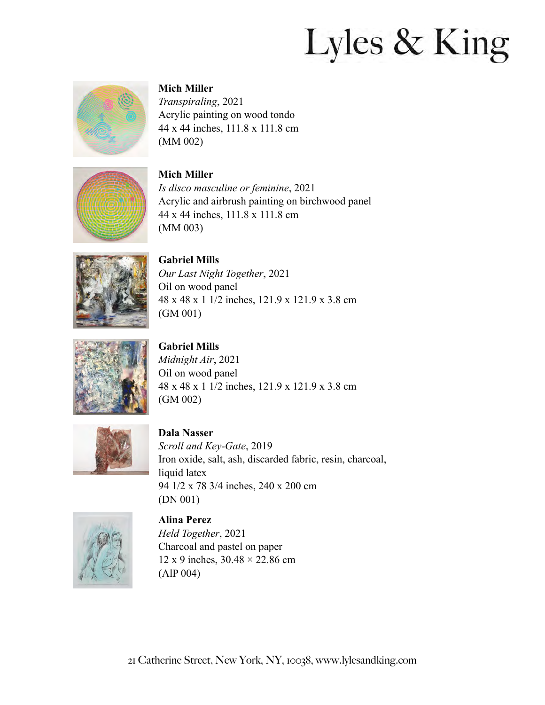

### **Mich Miller**

*Transpiraling*, 2021 Acrylic painting on wood tondo 44 x 44 inches, 111.8 x 111.8 cm (MM 002)



## **Mich Miller**

*Is disco masculine or feminine*, 2021 Acrylic and airbrush painting on birchwood panel 44 x 44 inches, 111.8 x 111.8 cm (MM 003)



**Gabriel Mills** *Our Last Night Together*, 2021 Oil on wood panel 48 x 48 x 1 1/2 inches, 121.9 x 121.9 x 3.8 cm (GM 001)



**Gabriel Mills**

*Midnight Air*, 2021 Oil on wood panel 48 x 48 x 1 1/2 inches, 121.9 x 121.9 x 3.8 cm (GM 002)



**Dala Nasser** *Scroll and Key-Gate*, 2019 Iron oxide, salt, ash, discarded fabric, resin, charcoal, liquid latex 94 1/2 x 78 3/4 inches, 240 x 200 cm (DN 001)



**Alina Perez** *Held Together*, 2021 Charcoal and pastel on paper 12 x 9 inches, 30.48 × 22.86 cm (AlP 004)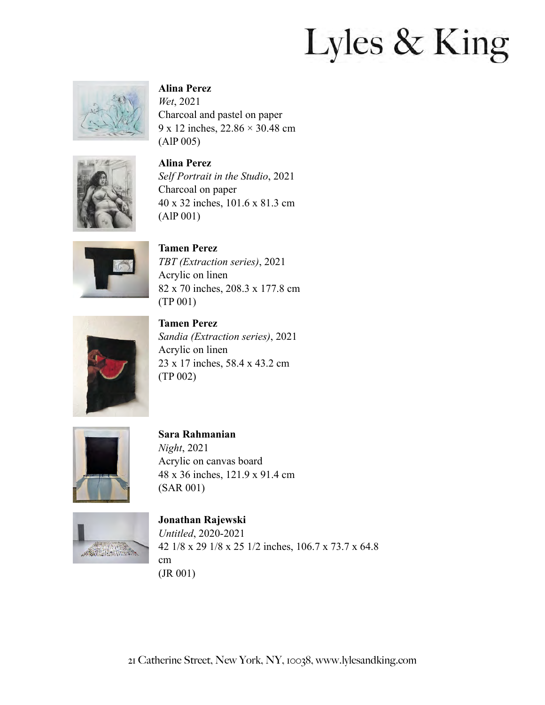

#### **Alina Perez**

*Wet*, 2021 Charcoal and pastel on paper 9 x 12 inches, 22.86 × 30.48 cm (AlP 005)



**Alina Perez** *Self Portrait in the Studio*, 2021 Charcoal on paper 40 x 32 inches, 101.6 x 81.3 cm (AlP 001)



**Tamen Perez** *TBT (Extraction series)*, 2021 Acrylic on linen 82 x 70 inches, 208.3 x 177.8 cm (TP 001)



**Tamen Perez** *Sandia (Extraction series)*, 2021 Acrylic on linen 23 x 17 inches, 58.4 x 43.2 cm (TP 002)



### **Sara Rahmanian**

*Night*, 2021 Acrylic on canvas board 48 x 36 inches, 121.9 x 91.4 cm (SAR 001)



#### **Jonathan Rajewski** *Untitled*, 2020-2021 42 1/8 x 29 1/8 x 25 1/2 inches, 106.7 x 73.7 x 64.8 cm (JR 001)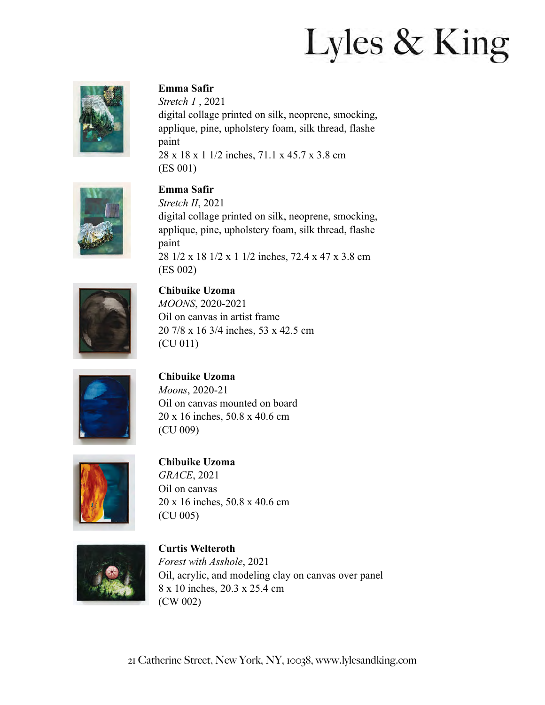

### **Emma Safir**

*Stretch 1* , 2021 digital collage printed on silk, neoprene, smocking, applique, pine, upholstery foam, silk thread, flashe paint 28 x 18 x 1 1/2 inches, 71.1 x 45.7 x 3.8 cm (ES 001)



## **Emma Safir**

*Stretch II*, 2021 digital collage printed on silk, neoprene, smocking, applique, pine, upholstery foam, silk thread, flashe paint 28 1/2 x 18 1/2 x 1 1/2 inches, 72.4 x 47 x 3.8 cm (ES 002)



#### **Chibuike Uzoma**

*MOONS*, 2020-2021 Oil on canvas in artist frame 20 7/8 x 16 3/4 inches, 53 x 42.5 cm (CU 011)



### **Chibuike Uzoma**

*Moons*, 2020-21 Oil on canvas mounted on board 20 x 16 inches, 50.8 x 40.6 cm (CU 009)



#### **Chibuike Uzoma**

*GRACE*, 2021 Oil on canvas 20 x 16 inches, 50.8 x 40.6 cm (CU 005)



## **Curtis Welteroth** *Forest with Asshole*, 2021 Oil, acrylic, and modeling clay on canvas over panel 8 x 10 inches, 20.3 x 25.4 cm (CW 002)